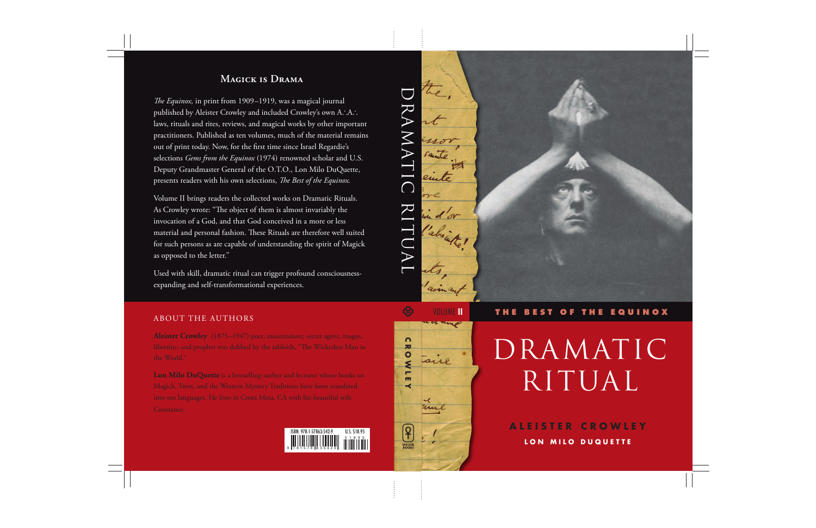

## VOLUME **II**

taire

une

 $\frac{1}{2}$ 

## **E BEST OF THE EQUINOX**

# DRAMATIC RITUAL

**ALEISTER CROWLEY LON MILO DUQUETTE**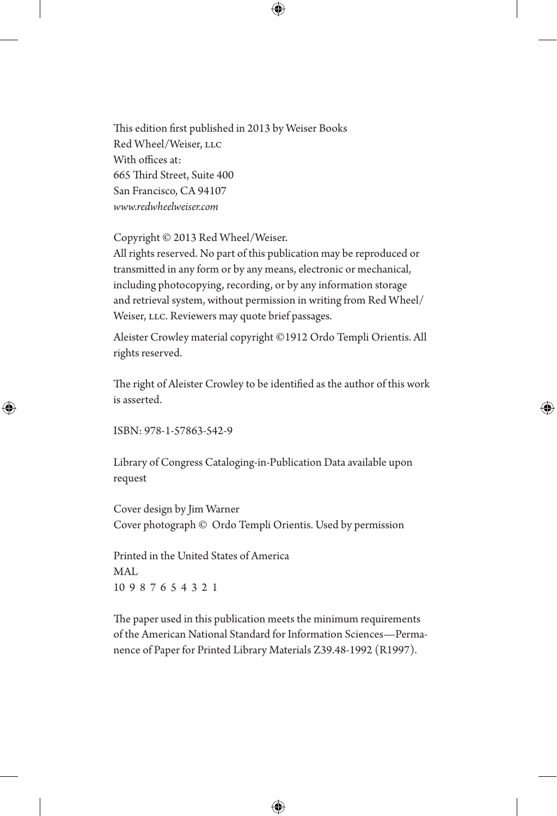This edition first published in 2013 by Weiser Books Red Wheel/Weiser, LLC With offices at: 665 Third Street, Suite 400 San Francisco, CA 94107 *www.redwheelweiser.com*

Copyright © 2013 Red Wheel/Weiser.

All rights reserved. No part of this publication may be reproduced or transmitted in any form or by any means, electronic or mechanical, including photocopying, recording, or by any information storage and retrieval system, without permission in writing from Red Wheel/ Weiser, LLC. Reviewers may quote brief passages.

Aleister Crowley material copyright ©1912 Ordo Templi Orientis. All rights reserved.

The right of Aleister Crowley to be identified as the author of this work is asserted.

ISBN: 978-1-57863-542-9

Library of Congress Cataloging-in-Publication Data available upon request

Cover design by Jim Warner Cover photograph © Ordo Templi Orientis. Used by permission

Printed in the United States of America MAL 10 9 8 7 6 5 4 3 2 1

The paper used in this publication meets the minimum requirements of the American National Standard for Information Sciences—Permanence of Paper for Printed Library Materials Z39.48-1992 (R1997).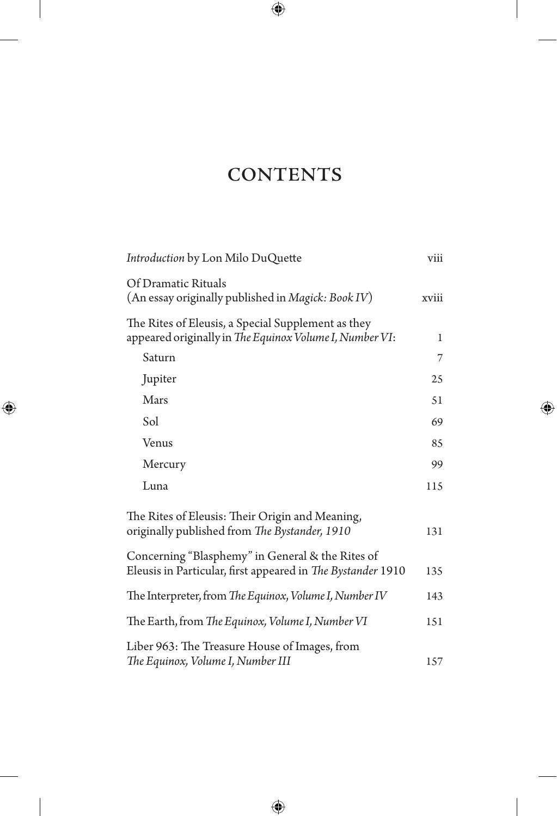## **Contents**

| Introduction by Lon Milo DuQuette                                                                               | viii |  |  |
|-----------------------------------------------------------------------------------------------------------------|------|--|--|
| Of Dramatic Rituals<br>(An essay originally published in Magick: Book IV)                                       |      |  |  |
| The Rites of Eleusis, a Special Supplement as they<br>appeared originally in The Equinox Volume I, Number VI:   | 1    |  |  |
| Saturn                                                                                                          | 7    |  |  |
| Jupiter                                                                                                         | 25   |  |  |
| Mars                                                                                                            | 51   |  |  |
| Sol                                                                                                             | 69   |  |  |
| Venus                                                                                                           | 85   |  |  |
| Mercury                                                                                                         | 99   |  |  |
| Luna                                                                                                            | 115  |  |  |
| The Rites of Eleusis: Their Origin and Meaning,<br>originally published from The Bystander, 1910                | 131  |  |  |
| Concerning "Blasphemy" in General & the Rites of<br>Eleusis in Particular, first appeared in The Bystander 1910 | 135  |  |  |
| The Interpreter, from The Equinox, Volume I, Number IV                                                          | 143  |  |  |
| The Earth, from The Equinox, Volume I, Number VI                                                                | 151  |  |  |
| Liber 963: The Treasure House of Images, from<br>The Equinox, Volume I, Number III                              | 157  |  |  |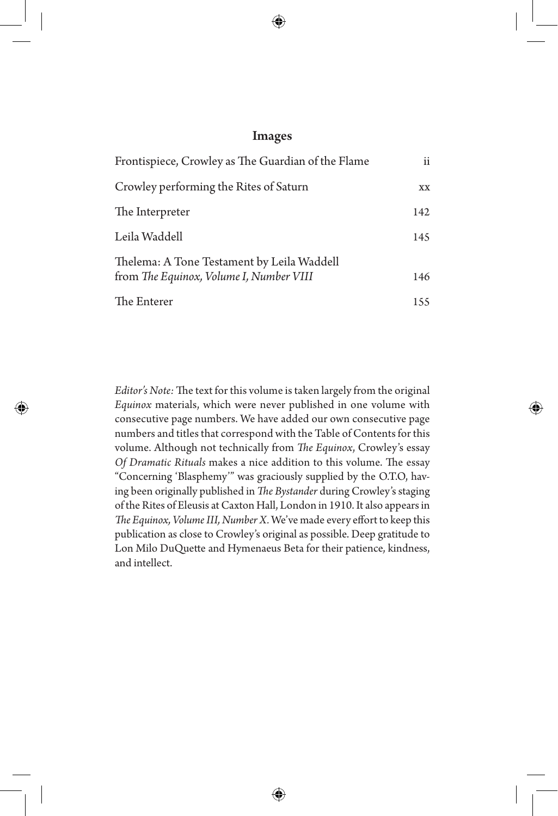#### Images

| Frontispiece, Crowley as The Guardian of the Flame                                    | <i>ii</i> |
|---------------------------------------------------------------------------------------|-----------|
| Crowley performing the Rites of Saturn                                                | <b>XX</b> |
| The Interpreter                                                                       | 142       |
| Leila Waddell                                                                         | 145       |
| Thelema: A Tone Testament by Leila Waddell<br>from The Equinox, Volume I, Number VIII | 146       |
| The Enterer                                                                           | 155       |

*Editor's Note:* The text for this volume is taken largely from the original *Equinox* materials, which were never published in one volume with consecutive page numbers. We have added our own consecutive page numbers and titles that correspond with the Table of Contents for this volume. Although not technically from *The Equinox*, Crowley's essay *Of Dramatic Rituals* makes a nice addition to this volume. The essay "Concerning 'Blasphemy'" was graciously supplied by the O.T.O, having been originally published in *The Bystander* during Crowley's staging of the Rites of Eleusis at Caxton Hall, London in 1910. It also appears in *The Equinox, Volume III, Number X.* We've made every effort to keep this publication as close to Crowley's original as possible. Deep gratitude to Lon Milo DuQuette and Hymenaeus Beta for their patience, kindness, and intellect.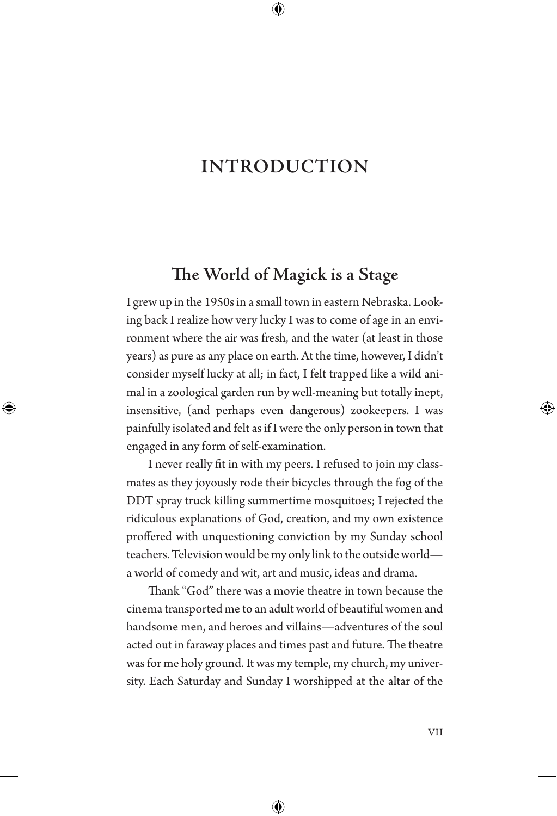## **Introduction**

## **The World of Magick is a Stage**

I grew up in the 1950s in a small town in eastern Nebraska. Looking back I realize how very lucky I was to come of age in an environment where the air was fresh, and the water (at least in those years) as pure as any place on earth. At the time, however, I didn't consider myself lucky at all; in fact, I felt trapped like a wild animal in a zoological garden run by well-meaning but totally inept, insensitive, (and perhaps even dangerous) zookeepers. I was painfully isolated and felt as if I were the only person in town that engaged in any form of self-examination.

I never really fit in with my peers. I refused to join my classmates as they joyously rode their bicycles through the fog of the DDT spray truck killing summertime mosquitoes; I rejected the ridiculous explanations of God, creation, and my own existence proffered with unquestioning conviction by my Sunday school teachers. Television would be my only link to the outside world a world of comedy and wit, art and music, ideas and drama.

Thank "God" there was a movie theatre in town because the cinema transported me to an adult world of beautiful women and handsome men, and heroes and villains—adventures of the soul acted out in faraway places and times past and future. The theatre was for me holy ground. It was my temple, my church, my university. Each Saturday and Sunday I worshipped at the altar of the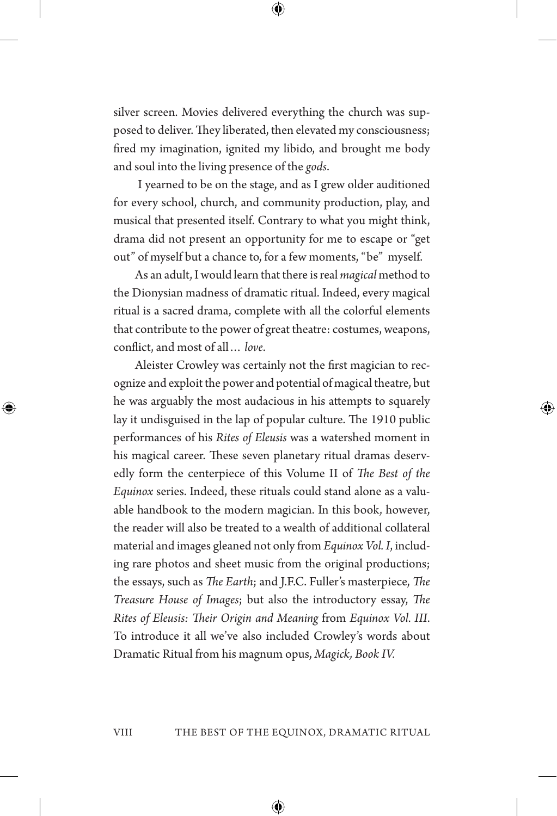silver screen. Movies delivered everything the church was supposed to deliver. They liberated, then elevated my consciousness; fired my imagination, ignited my libido, and brought me body and soul into the living presence of the *gods*.

 I yearned to be on the stage, and as I grew older auditioned for every school, church, and community production, play, and musical that presented itself. Contrary to what you might think, drama did not present an opportunity for me to escape or "get out" of myself but a chance to, for a few moments, "be" myself.

As an adult, I would learn that there is real *magical* method to the Dionysian madness of dramatic ritual. Indeed, every magical ritual is a sacred drama, complete with all the colorful elements that contribute to the power of great theatre: costumes, weapons, conflict, and most of all… *love*.

Aleister Crowley was certainly not the first magician to recognize and exploit the power and potential of magical theatre, but he was arguably the most audacious in his attempts to squarely lay it undisguised in the lap of popular culture. The 1910 public performances of his *Rites of Eleusis* was a watershed moment in his magical career. These seven planetary ritual dramas deservedly form the centerpiece of this Volume II of *The Best of the Equinox* series. Indeed, these rituals could stand alone as a valuable handbook to the modern magician. In this book, however, the reader will also be treated to a wealth of additional collateral material and images gleaned not only from *Equinox Vol. I*, including rare photos and sheet music from the original productions; the essays, such as *The Earth*; and J.F.C. Fuller's masterpiece, *The Treasure House of Images*; but also the introductory essay, *The Rites of Eleusis: Their Origin and Meaning* from *Equinox Vol. III*. To introduce it all we've also included Crowley's words about Dramatic Ritual from his magnum opus, *Magick, Book IV.*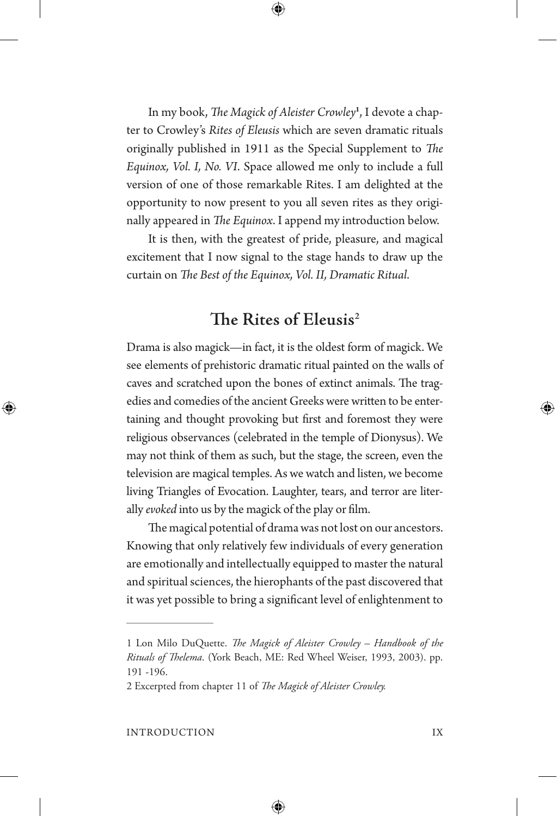In my book, *The Magick of Aleister Crowley***<sup>1</sup>** , I devote a chapter to Crowley's *Rites of Eleusis* which are seven dramatic rituals originally published in 1911 as the Special Supplement to *The Equinox, Vol. I, No. VI*. Space allowed me only to include a full version of one of those remarkable Rites. I am delighted at the opportunity to now present to you all seven rites as they originally appeared in *The Equinox*. I append my introduction below.

It is then, with the greatest of pride, pleasure, and magical excitement that I now signal to the stage hands to draw up the curtain on *The Best of the Equinox, Vol. II, Dramatic Ritual*.

## **The Rites of Eleusis2**

Drama is also magick—in fact, it is the oldest form of magick. We see elements of prehistoric dramatic ritual painted on the walls of caves and scratched upon the bones of extinct animals. The tragedies and comedies of the ancient Greeks were written to be entertaining and thought provoking but first and foremost they were religious observances (celebrated in the temple of Dionysus). We may not think of them as such, but the stage, the screen, even the television are magical temples. As we watch and listen, we become living Triangles of Evocation. Laughter, tears, and terror are literally *evoked* into us by the magick of the play or film.

The magical potential of drama was not lost on our ancestors. Knowing that only relatively few individuals of every generation are emotionally and intellectually equipped to master the natural and spiritual sciences, the hierophants of the past discovered that it was yet possible to bring a significant level of enlightenment to

<sup>1</sup> Lon Milo DuQuette. *The Magick of Aleister Crowley – Handbook of the Rituals of Thelema*. (York Beach, ME: Red Wheel Weiser, 1993, 2003). pp. 191 -196.

<sup>2</sup> Excerpted from chapter 11 of *The Magick of Aleister Crowley.*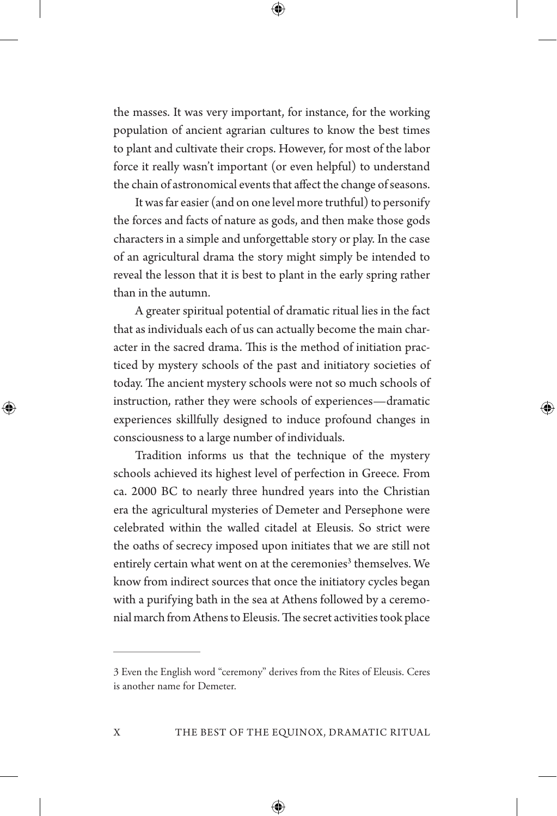the masses. It was very important, for instance, for the working population of ancient agrarian cultures to know the best times to plant and cultivate their crops. However, for most of the labor force it really wasn't important (or even helpful) to understand the chain of astronomical events that affect the change of seasons.

It was far easier (and on one level more truthful) to personify the forces and facts of nature as gods, and then make those gods characters in a simple and unforgettable story or play. In the case of an agricultural drama the story might simply be intended to reveal the lesson that it is best to plant in the early spring rather than in the autumn.

A greater spiritual potential of dramatic ritual lies in the fact that as individuals each of us can actually become the main character in the sacred drama. This is the method of initiation practiced by mystery schools of the past and initiatory societies of today. The ancient mystery schools were not so much schools of instruction, rather they were schools of experiences—dramatic experiences skillfully designed to induce profound changes in consciousness to a large number of individuals.

Tradition informs us that the technique of the mystery schools achieved its highest level of perfection in Greece. From ca. 2000 BC to nearly three hundred years into the Christian era the agricultural mysteries of Demeter and Persephone were celebrated within the walled citadel at Eleusis. So strict were the oaths of secrecy imposed upon initiates that we are still not entirely certain what went on at the ceremonies<sup>3</sup> themselves. We know from indirect sources that once the initiatory cycles began with a purifying bath in the sea at Athens followed by a ceremonial march from Athens to Eleusis. The secret activities took place

<sup>3</sup> Even the English word "ceremony" derives from the Rites of Eleusis. Ceres is another name for Demeter.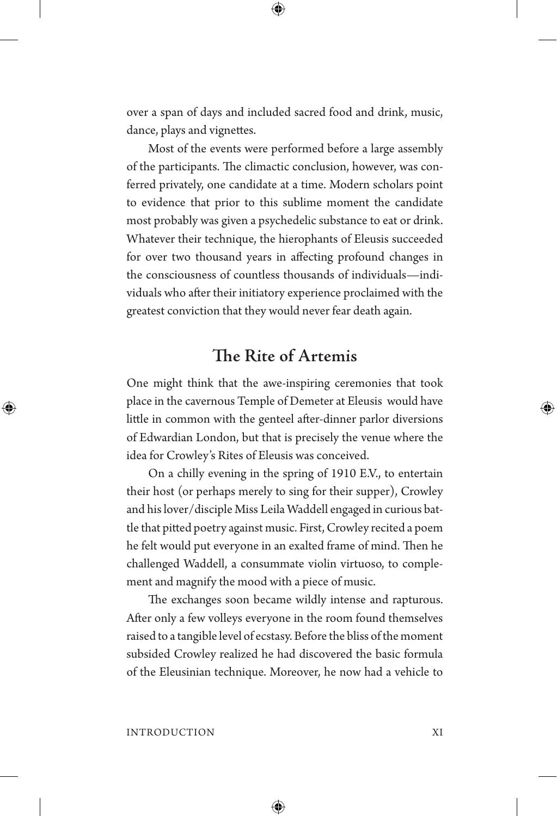over a span of days and included sacred food and drink, music, dance, plays and vignettes.

Most of the events were performed before a large assembly of the participants. The climactic conclusion, however, was conferred privately, one candidate at a time. Modern scholars point to evidence that prior to this sublime moment the candidate most probably was given a psychedelic substance to eat or drink. Whatever their technique, the hierophants of Eleusis succeeded for over two thousand years in affecting profound changes in the consciousness of countless thousands of individuals—individuals who after their initiatory experience proclaimed with the greatest conviction that they would never fear death again.

## **The Rite of Artemis**

One might think that the awe-inspiring ceremonies that took place in the cavernous Temple of Demeter at Eleusis would have little in common with the genteel after-dinner parlor diversions of Edwardian London, but that is precisely the venue where the idea for Crowley's Rites of Eleusis was conceived.

On a chilly evening in the spring of 1910 E.V., to entertain their host (or perhaps merely to sing for their supper), Crowley and his lover/disciple Miss Leila Waddell engaged in curious battle that pitted poetry against music. First, Crowley recited a poem he felt would put everyone in an exalted frame of mind. Then he challenged Waddell, a consummate violin virtuoso, to complement and magnify the mood with a piece of music.

The exchanges soon became wildly intense and rapturous. After only a few volleys everyone in the room found themselves raised to a tangible level of ecstasy. Before the bliss of the moment subsided Crowley realized he had discovered the basic formula of the Eleusinian technique. Moreover, he now had a vehicle to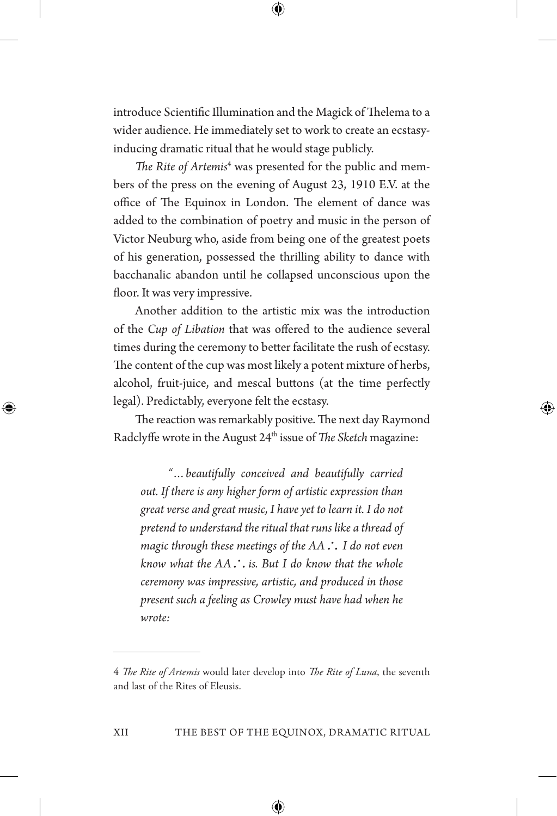introduce Scientific Illumination and the Magick of Thelema to a wider audience. He immediately set to work to create an ecstasyinducing dramatic ritual that he would stage publicly.

The Rite of Artemis<sup>4</sup> was presented for the public and members of the press on the evening of August 23, 1910 E.V. at the office of The Equinox in London. The element of dance was added to the combination of poetry and music in the person of Victor Neuburg who, aside from being one of the greatest poets of his generation, possessed the thrilling ability to dance with bacchanalic abandon until he collapsed unconscious upon the floor. It was very impressive.

Another addition to the artistic mix was the introduction of the *Cup of Libation* that was offered to the audience several times during the ceremony to better facilitate the rush of ecstasy. The content of the cup was most likely a potent mixture of herbs, alcohol, fruit-juice, and mescal buttons (at the time perfectly legal). Predictably, everyone felt the ecstasy.

The reaction was remarkably positive. The next day Raymond Radclyffe wrote in the August 24<sup>th</sup> issue of *The Sketch* magazine:

 *"…beautifully conceived and beautifully carried out. If there is any higher form of artistic expression than great verse and great music, I have yet to learn it. I do not pretend to understand the ritual that runs like a thread of magic through these meetings of the AA . . I do not even . know what the AA . . is. But I do know that the whole . ceremony was impressive, artistic, and produced in those present such a feeling as Crowley must have had when he wrote:*

<sup>4</sup> *The Rite of Artemis* would later develop into *The Rite of Luna*, the seventh and last of the Rites of Eleusis.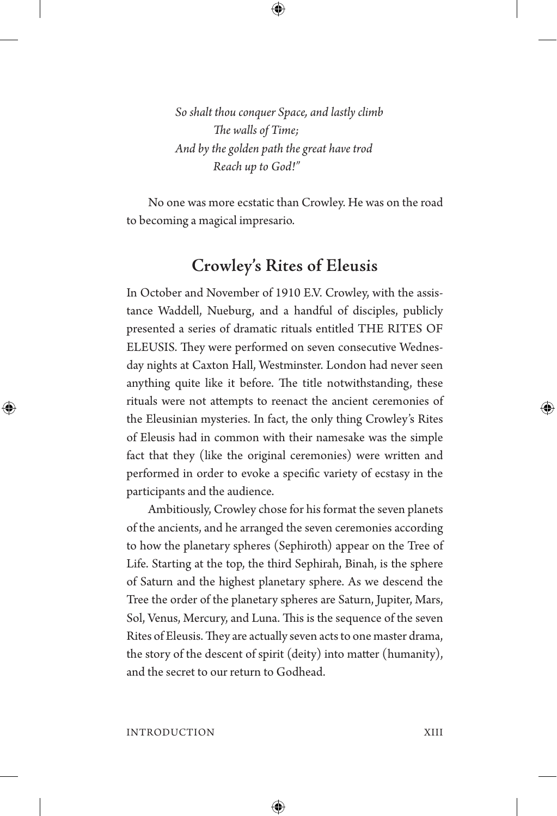*So shalt thou conquer Space, and lastly climb The walls of Time; And by the golden path the great have trod Reach up to God!"*

No one was more ecstatic than Crowley. He was on the road to becoming a magical impresario.

## **Crowley's Rites of Eleusis**

In October and November of 1910 E.V. Crowley, with the assistance Waddell, Nueburg, and a handful of disciples, publicly presented a series of dramatic rituals entitled THE RITES OF ELEUSIS. They were performed on seven consecutive Wednesday nights at Caxton Hall, Westminster. London had never seen anything quite like it before. The title notwithstanding, these rituals were not attempts to reenact the ancient ceremonies of the Eleusinian mysteries. In fact, the only thing Crowley's Rites of Eleusis had in common with their namesake was the simple fact that they (like the original ceremonies) were written and performed in order to evoke a specific variety of ecstasy in the participants and the audience.

Ambitiously, Crowley chose for his format the seven planets of the ancients, and he arranged the seven ceremonies according to how the planetary spheres (Sephiroth) appear on the Tree of Life. Starting at the top, the third Sephirah, Binah, is the sphere of Saturn and the highest planetary sphere. As we descend the Tree the order of the planetary spheres are Saturn, Jupiter, Mars, Sol, Venus, Mercury, and Luna. This is the sequence of the seven Rites of Eleusis. They are actually seven acts to one master drama, the story of the descent of spirit (deity) into matter (humanity), and the secret to our return to Godhead.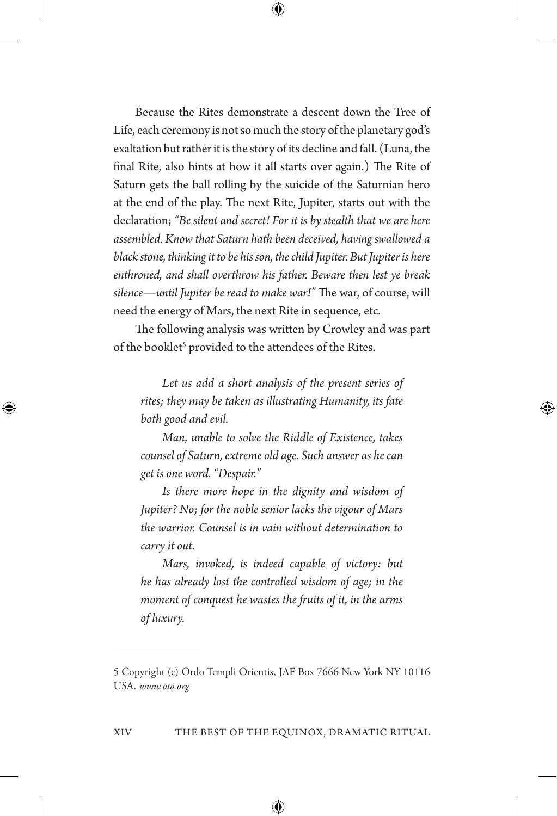Because the Rites demonstrate a descent down the Tree of Life, each ceremony is not so much the story of the planetary god's exaltation but rather it is the story of its decline and fall. (Luna, the final Rite, also hints at how it all starts over again.) The Rite of Saturn gets the ball rolling by the suicide of the Saturnian hero at the end of the play. The next Rite, Jupiter, starts out with the declaration; *"Be silent and secret! For it is by stealth that we are here assembled. Know that Saturn hath been deceived, having swallowed a black stone, thinking it to be his son, the child Jupiter. But Jupiter is here enthroned, and shall overthrow his father. Beware then lest ye break silence—until Jupiter be read to make war!"* The war, of course, will need the energy of Mars, the next Rite in sequence, etc.

The following analysis was written by Crowley and was part of the booklet<sup>5</sup> provided to the attendees of the Rites.

*Let us add a short analysis of the present series of rites; they may be taken as illustrating Humanity, its fate both good and evil.*

*Man, unable to solve the Riddle of Existence, takes counsel of Saturn, extreme old age. Such answer as he can get is one word. "Despair."*

*Is there more hope in the dignity and wisdom of Jupiter? No; for the noble senior lacks the vigour of Mars the warrior. Counsel is in vain without determination to carry it out.*

*Mars, invoked, is indeed capable of victory: but he has already lost the controlled wisdom of age; in the moment of conquest he wastes the fruits of it, in the arms of luxury.*

<sup>5</sup> Copyright (c) Ordo Templi Orientis, JAF Box 7666 New York NY 10116 USA. *www.oto.org*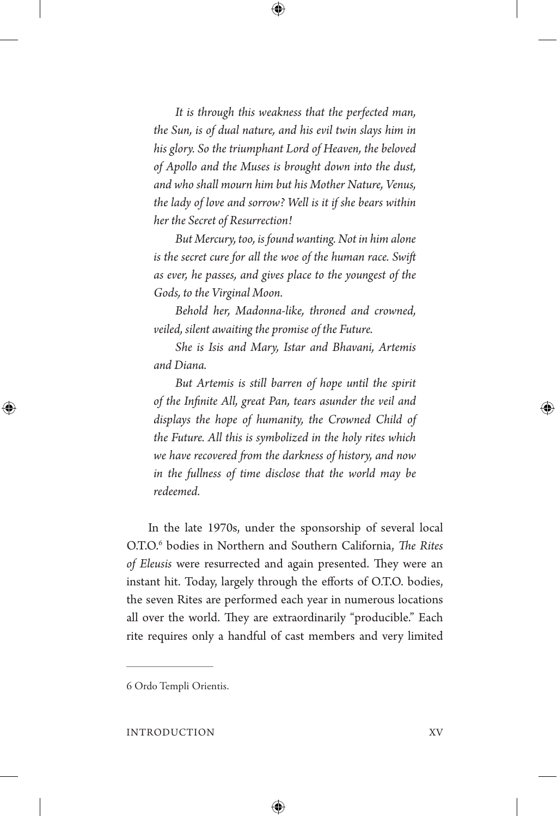*It is through this weakness that the perfected man, the Sun, is of dual nature, and his evil twin slays him in his glory. So the triumphant Lord of Heaven, the beloved of Apollo and the Muses is brought down into the dust, and who shall mourn him but his Mother Nature, Venus, the lady of love and sorrow? Well is it if she bears within her the Secret of Resurrection!*

*But Mercury, too, is found wanting. Not in him alone is the secret cure for all the woe of the human race. Swift as ever, he passes, and gives place to the youngest of the Gods, to the Virginal Moon.*

*Behold her, Madonna-like, throned and crowned, veiled, silent awaiting the promise of the Future.*

*She is Isis and Mary, Istar and Bhavani, Artemis and Diana.*

*But Artemis is still barren of hope until the spirit of the Infinite All, great Pan, tears asunder the veil and displays the hope of humanity, the Crowned Child of the Future. All this is symbolized in the holy rites which we have recovered from the darkness of history, and now in the fullness of time disclose that the world may be redeemed.*

In the late 1970s, under the sponsorship of several local O.T.O.6 bodies in Northern and Southern California, *The Rites of Eleusis* were resurrected and again presented. They were an instant hit. Today, largely through the efforts of O.T.O. bodies, the seven Rites are performed each year in numerous locations all over the world. They are extraordinarily "producible." Each rite requires only a handful of cast members and very limited

<sup>6</sup> Ordo Templi Orientis.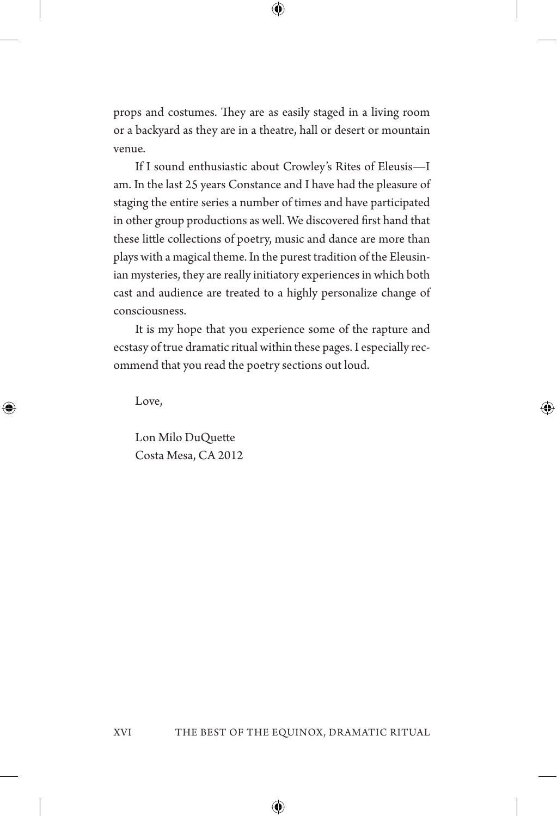props and costumes. They are as easily staged in a living room or a backyard as they are in a theatre, hall or desert or mountain venue.

If I sound enthusiastic about Crowley's Rites of Eleusis—I am. In the last 25 years Constance and I have had the pleasure of staging the entire series a number of times and have participated in other group productions as well. We discovered first hand that these little collections of poetry, music and dance are more than plays with a magical theme. In the purest tradition of the Eleusinian mysteries, they are really initiatory experiences in which both cast and audience are treated to a highly personalize change of consciousness.

It is my hope that you experience some of the rapture and ecstasy of true dramatic ritual within these pages. I especially recommend that you read the poetry sections out loud.

Love,

Lon Milo DuQuette Costa Mesa, CA 2012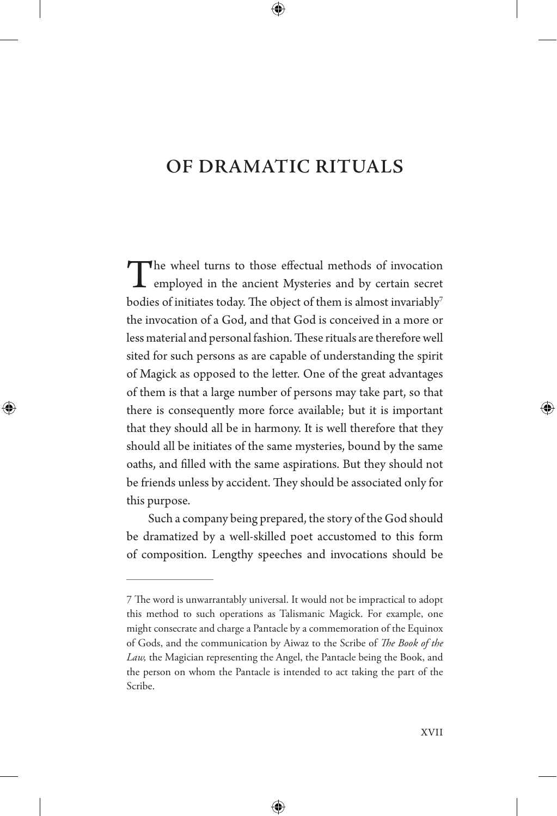## **Of Dramatic Rituals**

The wheel turns to those effectual methods of invocation employed in the ancient Mysteries and by certain secret bodies of initiates today. The object of them is almost invariably<sup>7</sup> the invocation of a God, and that God is conceived in a more or less material and personal fashion. These rituals are therefore well sited for such persons as are capable of understanding the spirit of Magick as opposed to the letter. One of the great advantages of them is that a large number of persons may take part, so that there is consequently more force available; but it is important that they should all be in harmony. It is well therefore that they should all be initiates of the same mysteries, bound by the same oaths, and filled with the same aspirations. But they should not be friends unless by accident. They should be associated only for this purpose.

Such a company being prepared, the story of the God should be dramatized by a well-skilled poet accustomed to this form of composition. Lengthy speeches and invocations should be

<sup>7</sup> The word is unwarrantably universal. It would not be impractical to adopt this method to such operations as Talismanic Magick. For example, one might consecrate and charge a Pantacle by a commemoration of the Equinox of Gods, and the communication by Aiwaz to the Scribe of *The Book of the Law,* the Magician representing the Angel, the Pantacle being the Book, and the person on whom the Pantacle is intended to act taking the part of the Scribe.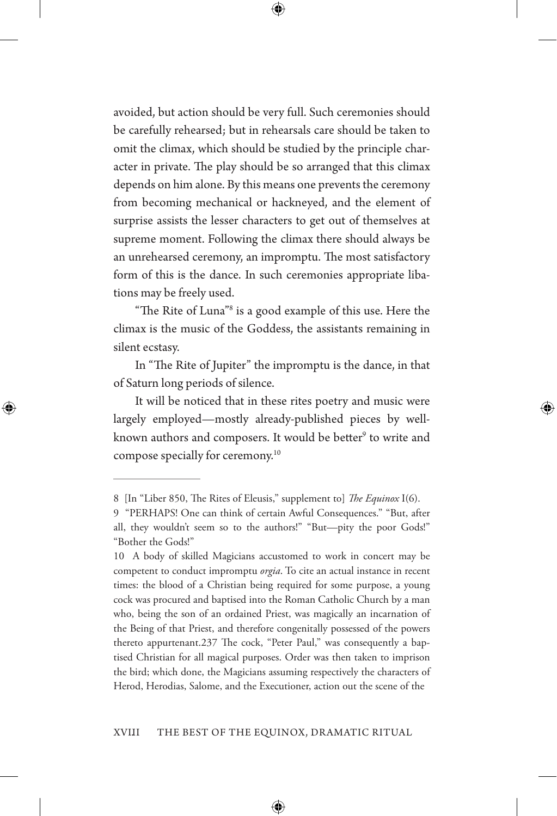avoided, but action should be very full. Such ceremonies should be carefully rehearsed; but in rehearsals care should be taken to omit the climax, which should be studied by the principle character in private. The play should be so arranged that this climax depends on him alone. By this means one prevents the ceremony from becoming mechanical or hackneyed, and the element of surprise assists the lesser characters to get out of themselves at supreme moment. Following the climax there should always be an unrehearsed ceremony, an impromptu. The most satisfactory form of this is the dance. In such ceremonies appropriate libations may be freely used.

"The Rite of Luna"<sup>8</sup> is a good example of this use. Here the climax is the music of the Goddess, the assistants remaining in silent ecstasy.

In "The Rite of Jupiter" the impromptu is the dance, in that of Saturn long periods of silence.

It will be noticed that in these rites poetry and music were largely employed—mostly already-published pieces by wellknown authors and composers. It would be better<sup>9</sup> to write and compose specially for ceremony.10

<sup>8 [</sup>In "Liber 850, The Rites of Eleusis," supplement to] *The Equinox* I(6).

<sup>9 &</sup>quot;PERHAPS! One can think of certain Awful Consequences." "But, after all, they wouldn't seem so to the authors!" "But—pity the poor Gods!" "Bother the Gods!"

<sup>10</sup> A body of skilled Magicians accustomed to work in concert may be competent to conduct impromptu *orgia*. To cite an actual instance in recent times: the blood of a Christian being required for some purpose, a young cock was procured and baptised into the Roman Catholic Church by a man who, being the son of an ordained Priest, was magically an incarnation of the Being of that Priest, and therefore congenitally possessed of the powers thereto appurtenant.237 The cock, "Peter Paul," was consequently a baptised Christian for all magical purposes. Order was then taken to imprison the bird; which done, the Magicians assuming respectively the characters of Herod, Herodias, Salome, and the Executioner, action out the scene of the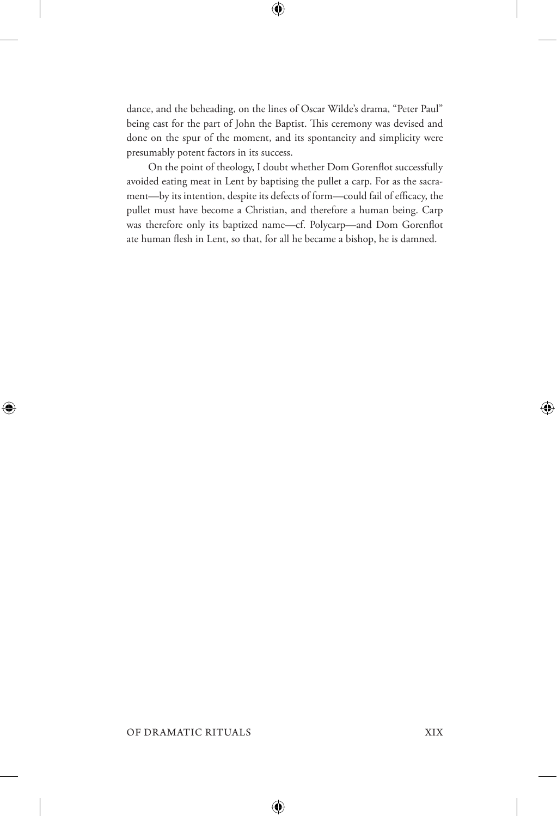dance, and the beheading, on the lines of Oscar Wilde's drama, "Peter Paul" being cast for the part of John the Baptist. This ceremony was devised and done on the spur of the moment, and its spontaneity and simplicity were presumably potent factors in its success.

On the point of theology, I doubt whether Dom Gorenflot successfully avoided eating meat in Lent by baptising the pullet a carp. For as the sacrament—by its intention, despite its defects of form—could fail of efficacy, the pullet must have become a Christian, and therefore a human being. Carp was therefore only its baptized name—cf. Polycarp—and Dom Gorenflot ate human flesh in Lent, so that, for all he became a bishop, he is damned.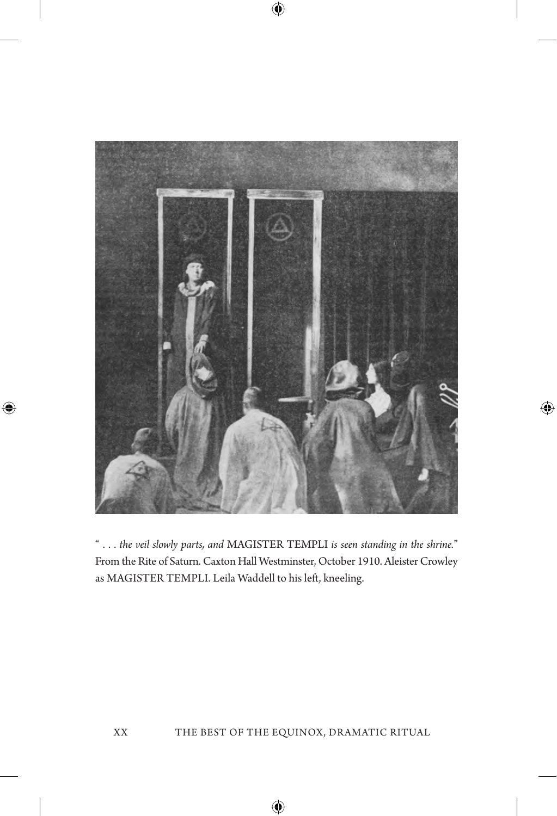

" . . . *the veil slowly parts, and* MAGISTER TEMPLI *is seen standing in the shrine.*" From the Rite of Saturn. Caxton Hall Westminster, October 1910. Aleister Crowley as MAGISTER TEMPLI. Leila Waddell to his left, kneeling.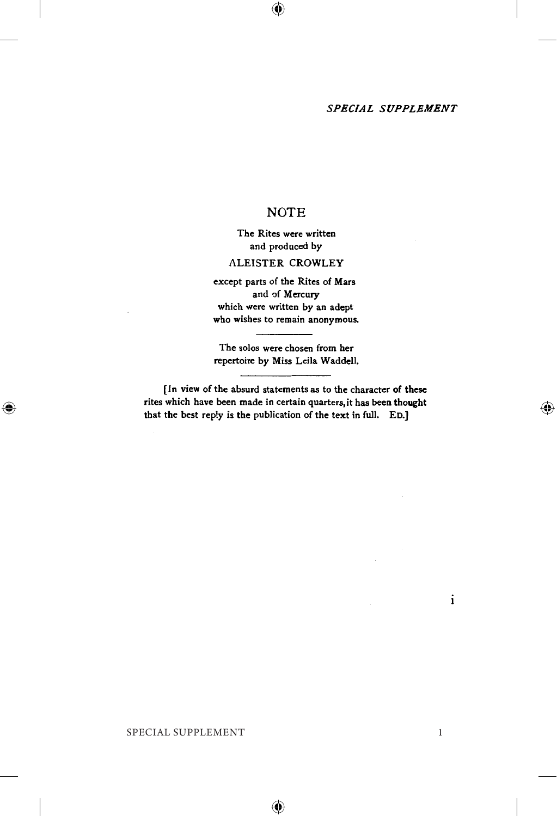#### **NOTE**

The Rites were written and produced by

#### **ALEISTER CROWLEY**

except parts of the Rites of Mars and of Mercury which were written by an adept who wishes to remain anonymous.

The solos were chosen from her repertoire by Miss Leila Waddell.

[In view of the absurd statements as to the character of these rites which have been made in certain quarters, it has been thought that the best reply is the publication of the text in full. ED.]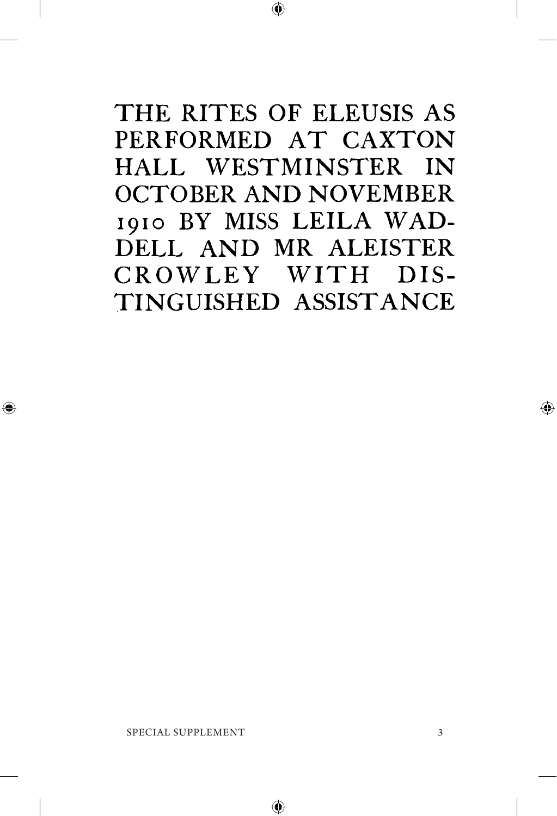# THE RITES OF ELEUSIS AS PERFORMED AT CAXTON HALL WESTMINSTER IN **OCTOBER AND NOVEMBER** 1910 BY MISS LEILA WAD-DELL AND MR ALEISTER CROWLEY WITH DIS-TINGUISHED ASSISTANCE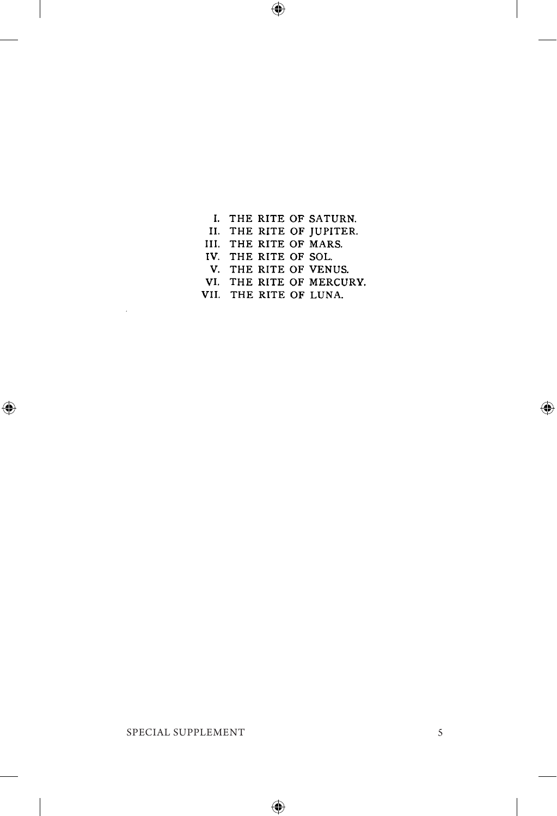|  |                      | I. THE RITE OF SATURN.   |
|--|----------------------|--------------------------|
|  |                      | II. THE RITE OF JUPITER. |
|  |                      | III. THE RITE OF MARS.   |
|  | IV. THE RITE OF SOL. |                          |
|  |                      | V. THE RITE OF VENUS.    |
|  |                      | VI. THE RITE OF MERCURY. |
|  |                      | VII. THE RITE OF LUNA.   |

 $\mathcal{A}(\mathcal{A})$  and  $\mathcal{A}(\mathcal{A})$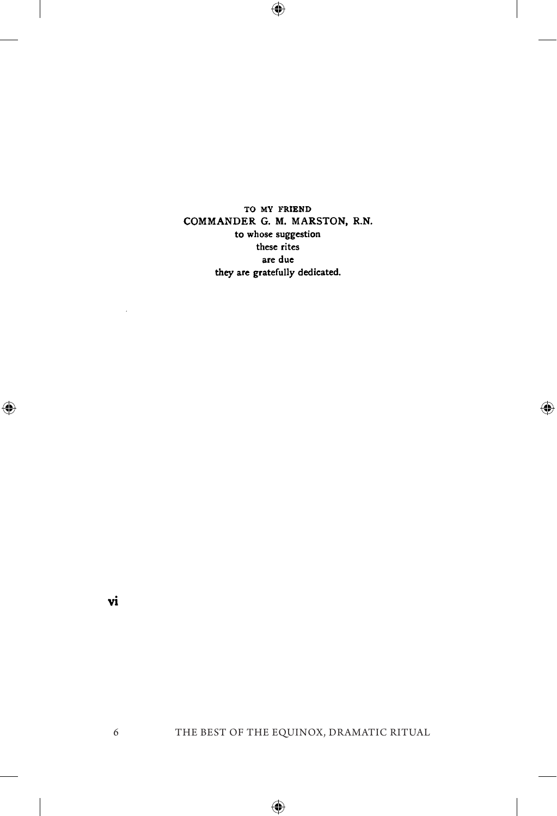TO MY FRIEND COMMANDER G. M. MARSTON, R.N. to whose suggestion these rites are due they are gratefully dedicated.

vi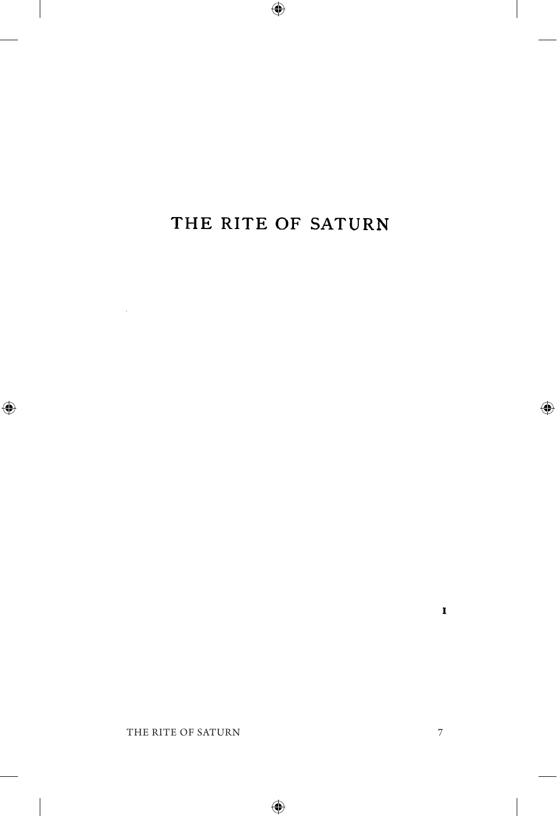## THE RITE OF SATURN

 $\sim$   $\sim$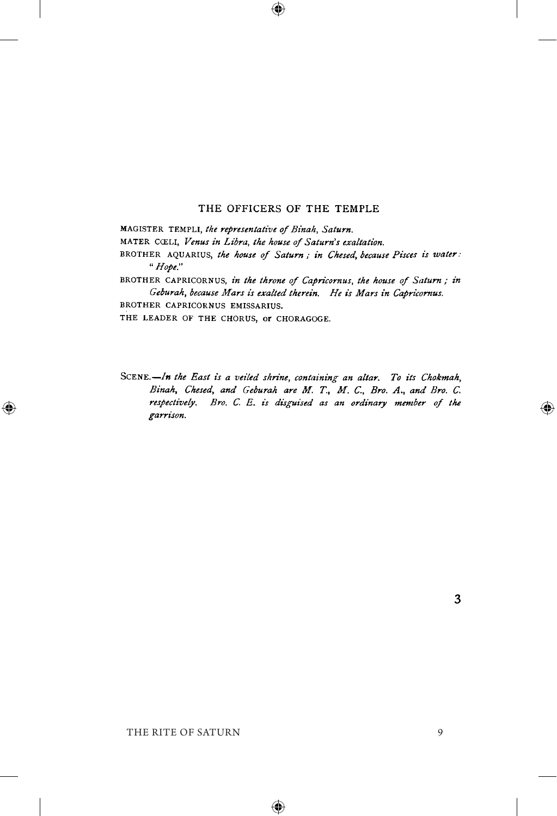#### THE OFFICERS OF THE TEMPLE

MAGISTER TEMPLI, the representative of Binah, Saturn. MATER CŒLI, Venus in Libra, the house of Saturn's exaltation. BROTHER AQUARIUS, the house of Saturn; in Chesed, because Pisces is water:  $"Hope."$ BROTHER CAPRICORNUS, in the throne of Capricornus, the house of Saturn; in Geburah, because Mars is exalted therein. He is Mars in Capricornus. BROTHER CAPRICORNUS EMISSARIUS.

THE LEADER OF THE CHORUS, or CHORAGOGE.

SCENE.-In the East is a veiled shrine, containing an altar. To its Chokmah, Binah, Chesed, and Geburah are M. T., M. C., Bro. A., and Bro. C. respectively. Bro. C. E. is disguised as an ordinary member of the garrison.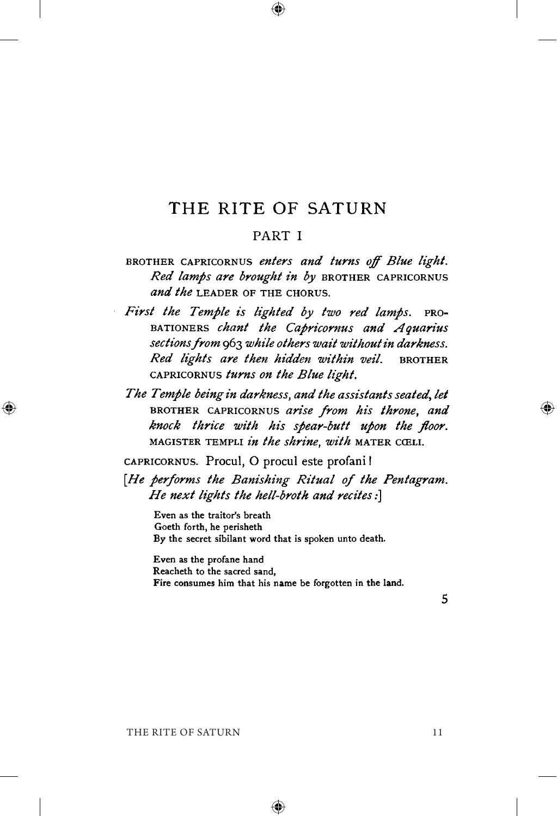## THE RITE OF SATURN

#### PART I

- BROTHER CAPRICORNUS enters and turns off Blue light. Red lamps are brought in by BROTHER CAPRICORNUS and the LEADER OF THE CHORUS.
- First the Temple is lighted by two red lamps. PRO-BATIONERS chant the Capricornus and Aquarius sections from 963 while others wait without in darkness. Red lights are then hidden within veil. **BROTHER** CAPRICORNUS turns on the Blue light.
	- The Temple being in darkness, and the assistants seated, let BROTHER CAPRICORNUS arise from his throne, and knock thrice with his spear-butt upon the floor. MAGISTER TEMPLI in the shrine, with MATER CŒLI.

CAPRICORNUS. Procul, O procul este profani!

[He performs the Banishing Ritual of the Pentagram. He next lights the hell-broth and recites:

Even as the traitor's breath Goeth forth, he perisheth By the secret sibilant word that is spoken unto death.

Even as the profane hand Reacheth to the sacred sand, Fire consumes him that his name be forgotten in the land.

5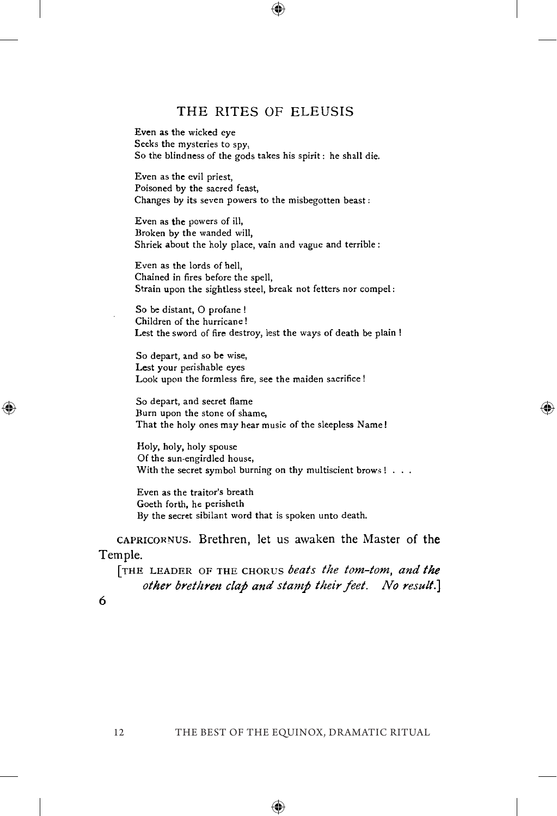#### THE RITES OF ELEUSIS

Even as the wicked eve Seeks the mysteries to spy, So the blindness of the gods takes his spirit: he shall die.

Even as the evil priest. Poisoned by the sacred feast, Changes by its seven powers to the misbegotten beast:

Even as the powers of ill, Broken by the wanded will, Shriek about the holy place, vain and vague and terrible:

Even as the lords of hell, Chained in fires before the spell, Strain upon the sightless steel, break not fetters nor compel:

So be distant, O profane! Children of the hurricane! Lest the sword of fire destroy, lest the ways of death be plain !

So depart, and so be wise, Lest your perishable eyes Look upon the formless fire, see the maiden sacrifice!

So depart, and secret flame Burn upon the stone of shame. That the holy ones may hear music of the sleepless Name!

Holy, holy, holy spouse Of the sun-engirdled house, With the secret symbol burning on thy multiscient brows  $! \ldots$ .

Even as the traitor's breath Goeth forth, he perisheth By the secret sibilant word that is spoken unto death.

CAPRICORNUS. Brethren, let us awaken the Master of the Temple.

THE LEADER OF THE CHORUS beats the tom-tom, and the other brethren clap and stamp their feet. No result.]

6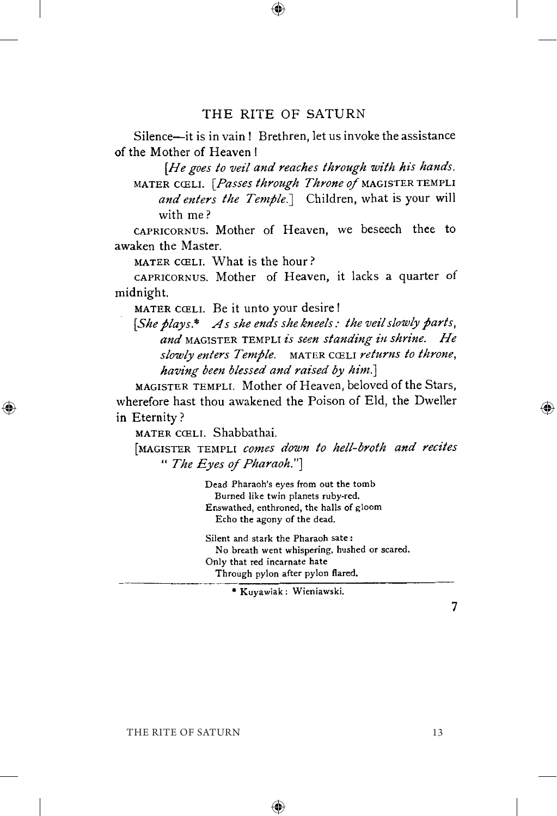#### THE RITE OF SATURN

Silence—it is in vain! Brethren, let us invoke the assistance of the Mother of Heaven!

[He goes to veil and reaches through with his hands. MATER CŒLI. [Passes through Throne of MAGISTER TEMPLI and enters the Temple.] Children, what is your will with me?

CAPRICORNUS. Mother of Heaven, we beseech thee to awaken the Master.

MATER CŒLI. What is the hour?

CAPRICORNUS. Mother of Heaven, it lacks a quarter of midnight.

MATER CŒLI. Be it unto your desire!

[She plays.\* As she ends she kneels: the veil slowly parts, and MAGISTER TEMPLI is seen standing in shrine. He slowly enters Temple. MATER CŒLI returns to throne, having been blessed and raised by him.]

MAGISTER TEMPLI. Mother of Heaven, beloved of the Stars, wherefore hast thou awakened the Poison of Eld, the Dweller in Eternity?

MATER CŒLI. Shabbathai.

[MAGISTER TEMPLI comes down to hell-broth and recites " The Eyes of Pharaoh."]

> Dead Pharaoh's eyes from out the tomb Burned like twin planets ruby-red. Enswathed, enthroned, the halls of gloom Echo the agony of the dead.

Silent and stark the Pharaoh sate: No breath went whispering, hushed or scared. Only that red incarnate hate Through pylon after pylon flared.

\* Kuyawiak: Wieniawski.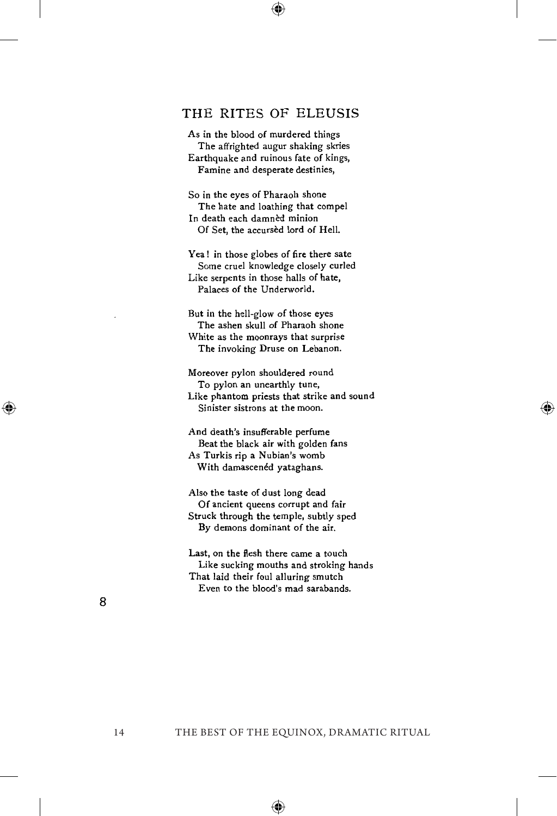#### THE RITES OF ELEUSIS

As in the blood of murdered things The affrighted augur shaking skries Earthquake and ruinous fate of kings, Famine and desperate destinies,

So in the eves of Pharaoh shone The hate and loathing that compel In death each damnèd minion Of Set, the accursed lord of Hell.

Yea! in those globes of fire there sate Some cruel knowledge closely curled Like serpents in those halls of hate, Palaces of the Underworld.

But in the hell-glow of those eyes The ashen skull of Pharaoh shone White as the moonrays that surprise The invoking Druse on Lebanon.

Moreover pylon shouldered round To pylon an unearthly tune, Like phantom priests that strike and sound Sinister sistrons at the moon.

And death's insufferable perfume Beat the black air with golden fans As Turkis rip a Nubian's womb With damascenéd yataghans.

Also the taste of dust long dead Of ancient queens corrupt and fair Struck through the temple, subtly sped By demons dominant of the air.

Last, on the flesh there came a touch Like sucking mouths and stroking hands That laid their foul alluring smutch Even to the blood's mad sarabands.

8